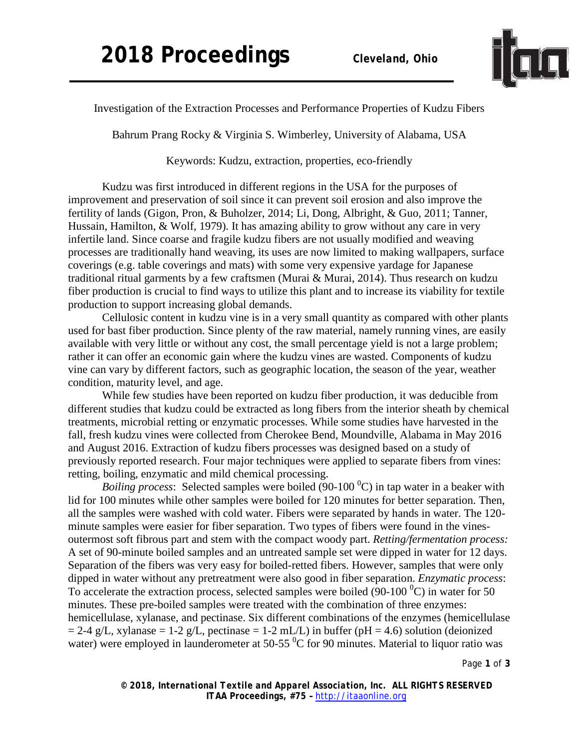

Investigation of the Extraction Processes and Performance Properties of Kudzu Fibers

Bahrum Prang Rocky & Virginia S. Wimberley, University of Alabama, USA

Keywords: Kudzu, extraction, properties, eco-friendly

Kudzu was first introduced in different regions in the USA for the purposes of improvement and preservation of soil since it can prevent soil erosion and also improve the fertility of lands (Gigon, Pron, & Buholzer, 2014; Li, Dong, Albright, & Guo, 2011; Tanner, Hussain, Hamilton, & Wolf, 1979). It has amazing ability to grow without any care in very infertile land. Since coarse and fragile kudzu fibers are not usually modified and weaving processes are traditionally hand weaving, its uses are now limited to making wallpapers, surface coverings (e.g. table coverings and mats) with some very expensive yardage for Japanese traditional ritual garments by a few craftsmen (Murai & Murai, 2014). Thus research on kudzu fiber production is crucial to find ways to utilize this plant and to increase its viability for textile production to support increasing global demands.

Cellulosic content in kudzu vine is in a very small quantity as compared with other plants used for bast fiber production. Since plenty of the raw material, namely running vines, are easily available with very little or without any cost, the small percentage yield is not a large problem; rather it can offer an economic gain where the kudzu vines are wasted. Components of kudzu vine can vary by different factors, such as geographic location, the season of the year, weather condition, maturity level, and age.

While few studies have been reported on kudzu fiber production, it was deducible from different studies that kudzu could be extracted as long fibers from the interior sheath by chemical treatments, microbial retting or enzymatic processes. While some studies have harvested in the fall, fresh kudzu vines were collected from Cherokee Bend, Moundville, Alabama in May 2016 and August 2016. Extraction of kudzu fibers processes was designed based on a study of previously reported research. Four major techniques were applied to separate fibers from vines: retting, boiling, enzymatic and mild chemical processing.

*Boiling process*: Selected samples were boiled (90-100  $^0$ C) in tap water in a beaker with lid for 100 minutes while other samples were boiled for 120 minutes for better separation. Then, all the samples were washed with cold water. Fibers were separated by hands in water. The 120 minute samples were easier for fiber separation. Two types of fibers were found in the vinesoutermost soft fibrous part and stem with the compact woody part. *Retting/fermentation process:* A set of 90-minute boiled samples and an untreated sample set were dipped in water for 12 days. Separation of the fibers was very easy for boiled-retted fibers. However, samples that were only dipped in water without any pretreatment were also good in fiber separation. *Enzymatic process*: To accelerate the extraction process, selected samples were boiled  $(90-100\degree C)$  in water for 50 minutes. These pre-boiled samples were treated with the combination of three enzymes: hemicellulase, xylanase, and pectinase. Six different combinations of the enzymes (hemicellulase  $= 2-4$  g/L, xylanase  $= 1-2$  g/L, pectinase  $= 1-2$  mL/L) in buffer (pH  $= 4.6$ ) solution (deionized water) were employed in launderometer at 50-55  $\mathrm{^{0}C}$  for 90 minutes. Material to liquor ratio was

Page **1** of **3**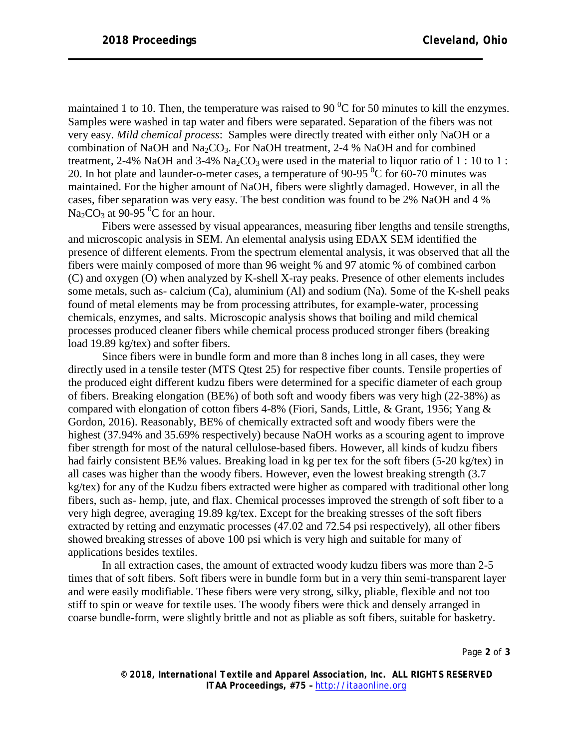maintained 1 to 10. Then, the temperature was raised to 90  $\mathrm{^0C}$  for 50 minutes to kill the enzymes. Samples were washed in tap water and fibers were separated. Separation of the fibers was not very easy. *Mild chemical process*: Samples were directly treated with either only NaOH or a combination of NaOH and Na<sub>2</sub>CO<sub>3</sub>. For NaOH treatment, 2-4 % NaOH and for combined treatment, 2-4% NaOH and 3-4% Na<sub>2</sub>CO<sub>3</sub> were used in the material to liquor ratio of 1 : 10 to 1 : 20. In hot plate and launder-o-meter cases, a temperature of 90-95  $\mathrm{^{0}C}$  for 60-70 minutes was maintained. For the higher amount of NaOH, fibers were slightly damaged. However, in all the cases, fiber separation was very easy. The best condition was found to be 2% NaOH and 4 % Na<sub>2</sub>CO<sub>3</sub> at 90-95 <sup>0</sup>C for an hour.

Fibers were assessed by visual appearances, measuring fiber lengths and tensile strengths, and microscopic analysis in SEM. An elemental analysis using EDAX SEM identified the presence of different elements. From the spectrum elemental analysis, it was observed that all the fibers were mainly composed of more than 96 weight % and 97 atomic % of combined carbon (C) and oxygen (O) when analyzed by K-shell X-ray peaks. Presence of other elements includes some metals, such as- calcium (Ca), aluminium (Al) and sodium (Na). Some of the K-shell peaks found of metal elements may be from processing attributes, for example-water, processing chemicals, enzymes, and salts. Microscopic analysis shows that boiling and mild chemical processes produced cleaner fibers while chemical process produced stronger fibers (breaking load 19.89 kg/tex) and softer fibers.

Since fibers were in bundle form and more than 8 inches long in all cases, they were directly used in a tensile tester (MTS Qtest 25) for respective fiber counts. Tensile properties of the produced eight different kudzu fibers were determined for a specific diameter of each group of fibers. Breaking elongation (BE%) of both soft and woody fibers was very high (22-38%) as compared with elongation of cotton fibers 4-8% (Fiori, Sands, Little, & Grant, 1956; Yang & Gordon, 2016). Reasonably, BE% of chemically extracted soft and woody fibers were the highest (37.94% and 35.69% respectively) because NaOH works as a scouring agent to improve fiber strength for most of the natural cellulose-based fibers. However, all kinds of kudzu fibers had fairly consistent BE% values. Breaking load in kg per tex for the soft fibers (5-20 kg/tex) in all cases was higher than the woody fibers. However, even the lowest breaking strength (3.7 kg/tex) for any of the Kudzu fibers extracted were higher as compared with traditional other long fibers, such as- hemp, jute, and flax. Chemical processes improved the strength of soft fiber to a very high degree, averaging 19.89 kg/tex. Except for the breaking stresses of the soft fibers extracted by retting and enzymatic processes (47.02 and 72.54 psi respectively), all other fibers showed breaking stresses of above 100 psi which is very high and suitable for many of applications besides textiles.

In all extraction cases, the amount of extracted woody kudzu fibers was more than 2-5 times that of soft fibers. Soft fibers were in bundle form but in a very thin semi-transparent layer and were easily modifiable. These fibers were very strong, silky, pliable, flexible and not too stiff to spin or weave for textile uses. The woody fibers were thick and densely arranged in coarse bundle-form, were slightly brittle and not as pliable as soft fibers, suitable for basketry.

Page **2** of **3**

*© 2018, International Textile and Apparel Association, Inc. ALL RIGHTS RESERVED ITAA Proceedings, #75 –* [http://itaaonline.org](http://itaaonline.org/)